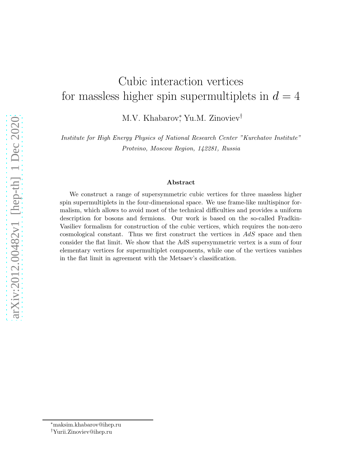# Cubic interaction vertices for massless higher spin supermultiplets in  $d = 4$

M.V. Khabarov,<sup>\*</sup> Yu.M. Zinoviev<sup>†</sup>

Institute for High Energy Physics of National Research Center "Kurchatov Institute" Protvino, Moscow Region, 142281, Russia

#### Abstract

We construct a range of supersymmetric cubic vertices for three massless higher spin supermultiplets in the four-dimensional space. We use frame-like multispinor formalism, which allows to avoid most of the technical difficulties and provides a uniform description for bosons and fermions. Our work is based on the so-called Fradkin-Vasiliev formalism for construction of the cubic vertices, which requires the non-zero cosmological constant. Thus we first construct the vertices in AdS space and then consider the flat limit. We show that the AdS supersymmetric vertex is a sum of four elementary vertices for supermultiplet components, while one of the vertices vanishes in the flat limit in agreement with the Metsaev's classification.

<sup>∗</sup>maksim.khabarov@ihep.ru

<sup>†</sup>Yurii.Zinoviev@ihep.ru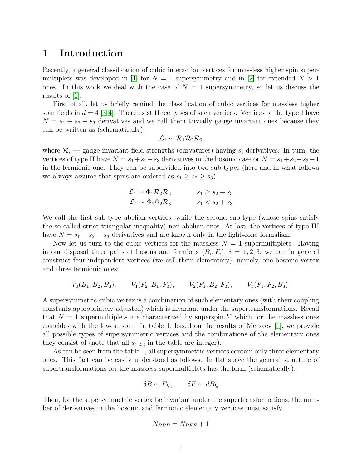#### 1 Introduction

Recently, a general classification of cubic interaction vertices for massless higher spin super-multiplets was developed in [\[1\]](#page-15-0) for  $N = 1$  supersymmetry and in [\[2\]](#page-15-1) for extended  $N > 1$ ones. In this work we deal with the case of  $N = 1$  supersymmetry, so let us discuss the results of  $|1|$ .

First of all, let us briefly remind the classification of cubic vertices for massless higher spin fields in  $d = 4 \, |3,4|$ . There exist three types of such vertices. Vertices of the type I have  $N = s_1 + s_2 + s_3$  derivatives and we call them trivially gauge invariant ones because they can be written as (schematically):

$$
\mathcal{L}_1 \sim \mathcal{R}_1 \mathcal{R}_2 \mathcal{R}_3
$$

where  $\mathcal{R}_i$  — gauge invariant field strengths (curvatures) having  $s_i$  derivatives. In turn, the vertices of type II have  $N = s_1 + s_2 - s_3$  derivatives in the bosonic case or  $N = s_1 + s_2 - s_3 - 1$ in the fermionic one. They can be subdivided into two sub-types (here and in what follows we always assume that spins are ordered as  $s_1 \geq s_2 \geq s_3$ :

$$
\mathcal{L}_1 \sim \Phi_1 \mathcal{R}_2 \mathcal{R}_3 \qquad \qquad s_1 \ge s_2 + s_3
$$
  

$$
\mathcal{L}_1 \sim \Phi_1 \Phi_2 \mathcal{R}_3 \qquad \qquad s_1 < s_2 + s_3
$$

We call the first sub-type abelian vertices, while the second sub-type (whose spins satisfy the so called strict triangular inequality) non-abelian ones. At last, the vertices of type III have  $N = s_1 - s_2 - s_3$  derivatives and are known only in the light-cone formalism.

Now let us turn to the cubic vertices for the massless  $N = 1$  supermultiplets. Having in our disposal three pairs of bosons and fermions  $(B_i, F_i), i = 1, 2, 3$ , we can in general construct four independent vertices (we call them elementary), namely, one bosonic vertex and three fermionic ones:

$$
V_0(B_1, B_2, B_3),
$$
  $V_1(F_2, B_1, F_3),$   $V_2(F_1, B_2, F_3),$   $V_3(F_1, F_2, B_3).$ 

A supersymmetric cubic vertex is a combination of such elementary ones (with their coupling constants appropriately adjusted) which is invariant under the supertransformations. Recall that  $N = 1$  supermultiplets are characterized by superspin Y which for the massless ones coincides with the lowest spin. In table 1, based on the results of Metsaev [\[1\]](#page-15-0), we provide all possible types of supersymmetric vertices and the combinations of the elementary ones they consist of (note that all  $s_{1,2,3}$  in the table are integer).

As can be seen from the table 1, all supersymmetric vertices contain only three elementary ones. This fact can be easily understood as follows. In flat space the general structure of supertransformations for the massless supermultiplets has the form (schematically):

$$
\delta B \sim F\zeta, \qquad \delta F \sim dB\zeta
$$

Then, for the supersymmetric vertex be invariant under the supertransformations, the number of derivatives in the bosonic and fermionic elementary vertices must satisfy

$$
N_{BBB} = N_{BFF} + 1
$$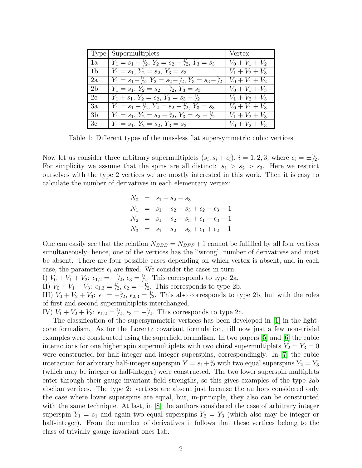|                | Type Supermultiplets                                                        | Vertex            |
|----------------|-----------------------------------------------------------------------------|-------------------|
| 1a             | $Y_1 = s_1 - \frac{1}{2}, Y_2 = s_2 - \frac{1}{2}, Y_3 = s_3$               | $V_0 + V_1 + V_2$ |
| 1 <sub>b</sub> | $Y_1 = s_1, Y_2 = s_2, Y_3 = s_3$                                           | $V_1 + V_2 + V_3$ |
| 2a             | $Y_1 = s_1 - \frac{1}{2}, Y_2 = s_2 - \frac{1}{2}, Y_3 = s_3 - \frac{1}{2}$ | $V_0 + V_1 + V_2$ |
| 2 <sub>h</sub> | $Y_1 = s_1, Y_2 = s_2 - \frac{1}{2}, Y_3 = s_3$                             | $V_0 + V_1 + V_3$ |
| 2c             | $Y_1 + s_1, Y_2 = s_2, Y_3 = s_3 - \frac{1}{2}$                             | $V_1 + V_2 + V_3$ |
| 3a             | $Y_1 = s_1 - \frac{1}{2}, Y_2 = s_2 - \frac{1}{2}, Y_3 = s_3$               | $V_0 + V_1 + V_3$ |
| 3b             | $Y_1 = s_1, Y_2 = s_2 - \frac{1}{2}, Y_3 = s_3 - \frac{1}{2}$               | $V_1 + V_2 + V_3$ |
| 3c             | $Y_1 = s_1, Y_2 = s_2, Y_3 = s_3$                                           | $V_0 + V_2 + V_3$ |

Table 1: Different types of the massless flat supersymmetric cubic vertices

Now let us consider three arbitrary supermultiplets  $(s_i, s_i + \epsilon_i), i = 1, 2, 3$ , where  $\epsilon_i = \pm \frac{1}{2}$ . For simplicity we assume that the spins are all distinct:  $s_1 > s_2 > s_3$ . Here we restrict ourselves with the type 2 vertices we are mostly interested in this work. Then it is easy to calculate the number of derivatives in each elementary vertex:

> $N_0 = s_1 + s_2 - s_3$  $N_1 = s_1 + s_2 - s_3 + \epsilon_2 - \epsilon_3 - 1$  $N_2 = s_1 + s_2 - s_3 + \epsilon_1 - \epsilon_3 - 1$  $N_3 = s_1 + s_2 - s_3 + \epsilon_1 + \epsilon_2 - 1$

One can easily see that the relation  $N_{BBB} = N_{BFF} + 1$  cannot be fulfilled by all four vertices simultaneously; hence, one of the vertices has the "wrong" number of derivatives and must be absent. There are four possible cases depending on which vertex is absent, and in each case, the parameters  $\epsilon_i$  are fixed. We consider the cases in turn.

I)  $V_0 + V_1 + V_2$ :  $\epsilon_{1,2} = -\frac{1}{2}$ ,  $\epsilon_3 = \frac{1}{2}$ . This corresponds to type 2a.

II)  $V_0 + V_1 + V_3$ :  $\epsilon_{1,3} = \frac{1}{2}$ ,  $\epsilon_2 = -\frac{1}{2}$ . This corresponds to type 2b.

III)  $V_0 + V_2 + V_3$ :  $\epsilon_1 = -\frac{1}{2}$ ,  $\epsilon_{2,3} = \frac{1}{2}$ . This also corresponds to type 2b, but with the roles of first and second supermultiplets interchanged.

IV)  $V_1 + V_2 + V_3$ :  $\epsilon_{1,2} = \frac{1}{2}$ ,  $\epsilon_3 = -\frac{1}{2}$ . This corresponds to type 2c.

The classification of the supersymmetric vertices has been developed in [\[1\]](#page-15-0) in the lightcone formalism. As for the Lorentz covariant formulation, till now just a few non-trivial examples were constructed using the superfield formalism. In two papers [\[5\]](#page-15-4) and [\[6\]](#page-15-5) the cubic interactions for one higher spin supermultiplets with two chiral supermultiplets  $Y_2 = Y_3 = 0$ were constructed for half-integer and integer superspins, correspondingly. In [\[7\]](#page-15-6) the cubic interaction for arbitrary half-integer superspin  $Y = s_1 + \frac{1}{2}$  with two equal superspins  $Y_2 = Y_3$ (which may be integer or half-integer) were constructed. The two lower superspin multiplets enter through their gauge invariant field strengths, so this gives examples of the type 2ab abelian vertices. The type 2c vertices are absent just because the authors considered only the case where lower superspins are equal, but, in-principle, they also can be constructed with the same technique. At last, in  $[8]$  the authors considered the case of arbitrary integer superspin  $Y_1 = s_1$  and again two equal superspins  $Y_2 = Y_3$  (which also may be integer or half-integer). From the number of derivatives it follows that these vertices belong to the class of trivially gauge invariant ones 1ab.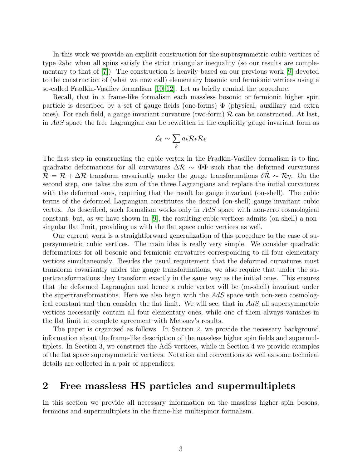In this work we provide an explicit construction for the supersymmetric cubic vertices of type 2abc when all spins satisfy the strict triangular inequality (so our results are complementary to that of [\[7\]](#page-15-6)). The construction is heavily based on our previous work [\[9\]](#page-15-8) devoted to the construction of (what we now call) elementary bosonic and fermionic vertices using a so-called Fradkin-Vasiliev formalism [\[10](#page-16-0)[–12\]](#page-16-1). Let us briefly remind the procedure.

Recall, that in a frame-like formalism each massless bosonic or fermionic higher spin particle is described by a set of gauge fields (one-forms)  $\Phi$  (physical, auxiliary and extra ones). For each field, a gauge invariant curvature (two-form)  $R$  can be constructed. At last, in AdS space the free Lagrangian can be rewritten in the explicitly gauge invariant form as

$$
\mathcal{L}_0 \sim \sum_k a_k \mathcal{R}_k \mathcal{R}_k
$$

The first step in constructing the cubic vertex in the Fradkin-Vasiliev formalism is to find quadratic deformations for all curvatures  $\Delta \mathcal{R} \sim \Phi \Phi$  such that the deformed curvatures  $\hat{\mathcal{R}} = \mathcal{R} + \Delta \mathcal{R}$  transform covariantly under the gauge transformations  $\delta \hat{\mathcal{R}} \sim \mathcal{R} \eta$ . On the second step, one takes the sum of the three Lagrangians and replace the initial curvatures with the deformed ones, requiring that the result be gauge invariant (on-shell). The cubic terms of the deformed Lagrangian constitutes the desired (on-shell) gauge invariant cubic vertex. As described, such formalism works only in AdS space with non-zero cosmological constant, but, as we have shown in [\[9\]](#page-15-8), the resulting cubic vertices admits (on-shell) a nonsingular flat limit, providing us with the flat space cubic vertices as well.

Our current work is a straightforward generalization of this procedure to the case of supersymmetric cubic vertices. The main idea is really very simple. We consider quadratic deformations for all bosonic and fermionic curvatures corresponding to all four elementary vertices simultaneously. Besides the usual requirement that the deformed curvatures must transform covariantly under the gauge transformations, we also require that under the supertransformations they transform exactly in the same way as the initial ones. This ensures that the deformed Lagrangian and hence a cubic vertex will be (on-shell) invariant under the supertransformations. Here we also begin with the  $AdS$  space with non-zero cosmological constant and then consider the flat limit. We will see, that in AdS all supersymmetric vertices necessarily contain all four elementary ones, while one of them always vanishes in the flat limit in complete agreement with Metsaev's results.

The paper is organized as follows. In Section 2, we provide the necessary background information about the frame-like description of the massless higher spin fields and supermultiplets. In Section 3, we construct the AdS vertices, while in Section 4 we provide examples of the flat space supersymmetric vertices. Notation and conventions as well as some technical details are collected in a pair of appendices.

#### 2 Free massless HS particles and supermultiplets

In this section we provide all necessary information on the massless higher spin bosons, fermions and supermultiplets in the frame-like multispinor formalism.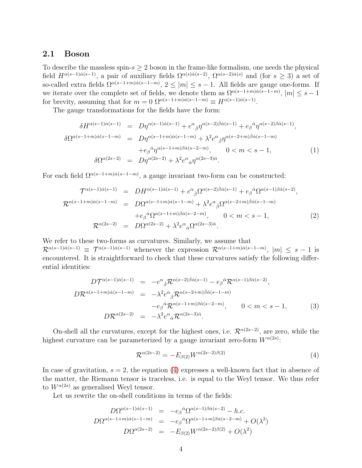#### 2.1 Boson

To describe the massless spin- $s > 2$  boson in the frame-like formalism, one needs the physical field  $H^{\alpha(s-1)\dot{\alpha}(s-1)}$ , a pair of auxiliary fields  $\Omega^{\alpha(s)\dot{\alpha}(s-2)}$ ,  $\Omega^{\alpha(s-2)\dot{\alpha}(s)}$  and (for  $s \geq 3$ ) a set of so-called extra fields  $\Omega^{\alpha(s-1+m)\dot{\alpha}(s-1-m)}$ ,  $2 \leq |m| \leq s-1$ . All fields are gauge one-forms. If we iterate over the complete set of fields, we denote them as  $\Omega^{\alpha(s-1+m)\alpha(s-1-m)}$ ,  $|m| \leq s-1$ for brevity, assuming that for  $m = 0$   $\Omega^{\alpha(s-1+m)\dot{\alpha}(s-1-m)} \equiv H^{\alpha(s-1)\dot{\alpha}(s-1)}$ .

The gauge transformations for the fields have the form:

$$
\delta H^{\alpha(s-1)\dot{\alpha}(s-1)} = D\eta^{\alpha(s-1)\dot{\alpha}(s-1)} + e^{\alpha}_{\dot{\beta}}\eta^{\alpha(s-2)\dot{\beta}\dot{\alpha}(s-1)} + e^{\dot{\alpha}}\eta^{\alpha(s-2)\beta\dot{\alpha}(s-1)},
$$
  
\n
$$
\delta \Omega^{\alpha(s-1+m)\dot{\alpha}(s-1-m)} = D\eta^{\alpha(s-1+m)\dot{\alpha}(s-1-m)} + \lambda^2 e^{\alpha}_{\dot{\beta}}\eta^{\alpha(s-2+m)\dot{\beta}\dot{\alpha}(s-1-m)} + e^{\dot{\alpha}}\eta^{\alpha(s-1+m)\beta\dot{\alpha}(s-2-m)}, \qquad 0 < m < s-1,
$$
\n
$$
\delta \Omega^{\alpha(2s-2)} = D\eta^{\alpha(2s-2)} + \lambda^2 e^{\alpha}_{\dot{\alpha}}\eta^{\alpha(2s-3)\dot{\alpha}}.
$$
\n(1)

For each field  $\Omega^{\alpha(s-1+m)\dot{\alpha}(s-1-m)}$ , a gauge invariant two-form can be constructed:

$$
\mathcal{T}^{\alpha(s-1)\dot{\alpha}(s-1)} = DH^{\alpha(s-1)\dot{\alpha}(s-1)} + e^{\alpha}_{\dot{\beta}} \Omega^{\alpha(s-2)\dot{\beta}\dot{\alpha}(s-1)} + e_{\beta}^{\dot{\alpha}} \Omega^{\alpha(s-1)\beta\dot{\alpha}(s-2)},
$$
  
\n
$$
\mathcal{R}^{\alpha(s-1+m)\dot{\alpha}(s-1-m)} = D\Omega^{\alpha(s-1+m)\dot{\alpha}(s-1-m)} + \lambda^2 e^{\alpha}_{\dot{\beta}} \Omega^{\alpha(s-2+m)\dot{\beta}\dot{\alpha}(s-1-m)} + e_{\beta}^{\dot{\alpha}} \Omega^{\alpha(s-1+m)\beta\dot{\alpha}(s-2-m)}, \qquad 0 < m < s-1,
$$
\n
$$
\mathcal{R}^{\alpha(2s-2)} = D\Omega^{\alpha(2s-2)} + \lambda^2 e^{\alpha}_{\dot{\alpha}} \Omega^{\alpha(2s-3)\dot{\alpha}}.
$$
\n(2)

We refer to these two-forms as curvatures. Similarly, we assume that  $\mathcal{R}^{\alpha(s-1)\dot{\alpha}(s-1)} \equiv \mathcal{T}^{\alpha(s-1)\dot{\alpha}(s-1)}$  whenever the expression  $\mathcal{R}^{\alpha(s-1+m)\dot{\alpha}(s-1-m)}$ ,  $|m| \leq s-1$  is encountered. It is straightforward to check that these curvatures satisfy the following differential identities:

$$
D\mathcal{T}^{\alpha(s-1)\dot{\alpha}(s-1)} = -e^{\alpha}{}_{\dot{\beta}}\mathcal{R}^{\alpha(s-2)\dot{\beta}\dot{\alpha}(s-1)} - e_{\beta}{}^{\dot{\alpha}}\mathcal{R}^{\alpha(s-1)\beta\dot{\alpha}(s-2)},
$$
  
\n
$$
D\mathcal{R}^{\alpha(s-1+m)\dot{\alpha}(s-1-m)} = -\lambda^2 e^{\alpha}{}_{\dot{\beta}}\mathcal{R}^{\alpha(s-2+m)\dot{\beta}\dot{\alpha}(s-1-m)} -e_{\beta}{}^{\dot{\alpha}}\mathcal{R}^{\alpha(s-1+m)\beta\dot{\alpha}(s-2-m)}, \qquad 0 < m < s-1,
$$
\n(3)  
\n
$$
D\mathcal{R}^{\alpha(2s-2)} = -\lambda^2 e^{\alpha}{}_{\dot{\alpha}}\mathcal{R}^{\alpha(2s-3)\dot{\alpha}}.
$$

On-shell all the curvatures, except for the highest ones, i.e.  $\mathcal{R}^{\alpha(2s-2)}$ , are zero, while the highest curvature can be parameterized by a gauge invariant zero-form  $W^{\alpha(2s)}$ :

<span id="page-4-0"></span>
$$
\mathcal{R}^{\alpha(2s-2)} = -E_{\beta(2)}W^{\alpha(2s-2)\beta(2)}\tag{4}
$$

In case of gravitation,  $s = 2$ , the equation [\(4\)](#page-4-0) expresses a well-known fact that in absence of the matter, the Riemann tensor is traceless, i.e. is equal to the Weyl tensor. We thus refer to  $W^{\alpha(2s)}$  as generalised Weyl tensor.

Let us rewrite the on-shell conditions in terms of the fields:

$$
D\Omega^{\alpha(s-1)\dot{\alpha}(s-1)} = -e_{\beta}{}^{\dot{\alpha}}\Omega^{\alpha(s-1)\beta\dot{\alpha}(s-2)} - h.c.
$$
  
\n
$$
D\Omega^{\alpha(s-1+m)\dot{\alpha}(s-1-m)} = -e_{\beta}{}^{\dot{\alpha}}\Omega^{\alpha(s-1+m)\beta\dot{\alpha}(s-2-m)} + O(\lambda^2)
$$
  
\n
$$
D\Omega^{\alpha(2s-2)} = -E_{\beta(2)}W^{\alpha(2s-2)\beta(2)} + O(\lambda^2)
$$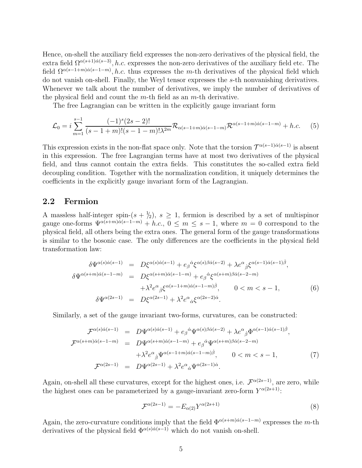Hence, on-shell the auxiliary field expresses the non-zero derivatives of the physical field, the extra field  $\Omega^{\alpha(s+1)\dot{\alpha}(s-3)}$ , *h.c.* expresses the non-zero derivatives of the auxiliary field etc. The field  $\Omega^{\alpha(s-1+m)\dot{\alpha}(s-1-m)}$ , *h.c.* thus expresses the *m*-th derivatives of the physical field which do not vanish on-shell. Finally, the Weyl tensor expresses the s-th nonvanishing derivatives. Whenever we talk about the number of derivatives, we imply the number of derivatives of the physical field and count the  $m$ -th field as an  $m$ -th derivative.

The free Lagrangian can be written in the explicitly gauge invariant form

$$
\mathcal{L}_0 = i \sum_{m=1}^{s-1} \frac{(-1)^s (2s-2)!}{(s-1+m)!(s-1-m)! \lambda^{2m}} \mathcal{R}_{\alpha(s-1+m)\dot{\alpha}(s-1-m)} \mathcal{R}^{\alpha(s-1+m)\dot{\alpha}(s-1-m)} + h.c.
$$
 (5)

This expression exists in the non-flat space only. Note that the torsion  $\mathcal{T}^{\alpha(s-1)\dot{\alpha}(s-1)}$  is absent in this expression. The free Lagrangian terms have at most two derivatives of the physical field, and thus cannot contain the extra fields. This constitutes the so-called extra field decoupling condition. Together with the normalization condition, it uniquely determines the coefficients in the explicitly gauge invariant form of the Lagrangian.

#### 2.2 Fermion

A massless half-integer spin- $(s + \frac{1}{2})$ ,  $s \geq 1$ , fermion is described by a set of multispinor gauge one-forms  $\Psi^{\alpha(s+m)\alpha(s-1-m)} + h.c., 0 \leq m \leq s-1$ , where  $m = 0$  correspond to the physical field, all others being the extra ones. The general form of the gauge transformations is similar to the bosonic case. The only differences are the coefficients in the physical field transformation law:

$$
\delta\Psi^{\alpha(s)\dot{\alpha}(s-1)} = D\xi^{\alpha(s)\dot{\alpha}(s-1)} + e_{\beta}{}^{\dot{\alpha}}\xi^{\alpha(s)\beta\dot{\alpha}(s-2)} + \lambda e^{\alpha}{}_{\dot{\beta}}\xi^{\alpha(s-1)\dot{\alpha}(s-1)\dot{\beta}},
$$
  
\n
$$
\delta\Psi^{\alpha(s+m)\dot{\alpha}(s-1-m)} = D\xi^{\alpha(s+m)\dot{\alpha}(s-1-m)} + e_{\beta}{}^{\dot{\alpha}}\xi^{\alpha(s+m)\beta\dot{\alpha}(s-2-m)} + \lambda^2 e^{\alpha}{}_{\dot{\beta}}\xi^{\alpha(s-1+m)\dot{\alpha}(s-1-m)\dot{\beta}}, \qquad 0 < m < s-1,
$$
\n
$$
\delta\Psi^{\alpha(2s-1)} = D\xi^{\alpha(2s-1)} + \lambda^2 e^{\alpha}{}_{\dot{\alpha}}\xi^{\alpha(2s-2)\dot{\alpha}}.
$$
\n(6)

Similarly, a set of the gauge invariant two-forms, curvatures, can be constructed:

$$
\mathcal{F}^{\alpha(s)\dot{\alpha}(s-1)} = D\Psi^{\alpha(s)\dot{\alpha}(s-1)} + e_{\beta}{}^{\dot{\alpha}}\Psi^{\alpha(s)\beta\dot{\alpha}(s-2)} + \lambda e^{\alpha}{}_{\dot{\beta}}\Phi^{\alpha(s-1)\dot{\alpha}(s-1)\dot{\beta}},
$$
  
\n
$$
\mathcal{F}^{\alpha(s+m)\dot{\alpha}(s-1-m)} = D\Psi^{\alpha(s+m)\dot{\alpha}(s-1-m)} + e_{\beta}{}^{\dot{\alpha}}\Psi^{\alpha(s+m)\beta\dot{\alpha}(s-2-m)} + \lambda^2 e^{\alpha}{}_{\dot{\beta}}\Psi^{\alpha(s-1+m)\dot{\alpha}(s-1-m)\dot{\beta}}, \qquad 0 < m < s - 1,
$$
  
\n
$$
\mathcal{F}^{\alpha(2s-1)} = D\Psi^{\alpha(2s-1)} + \lambda^2 e^{\alpha}{}_{\dot{\alpha}}\Psi^{\alpha(2s-1)\dot{\alpha}}.
$$
\n(7)

Again, on-shell all these curvatures, except for the highest ones, i.e.  $\mathcal{F}^{\alpha(2s-1)}$ , are zero, while the highest ones can be parameterized by a gauge-invariant zero-form  $Y^{\alpha(2s+1)}$ :

$$
\mathcal{F}^{\alpha(2s-1)} = -E_{\alpha(2)} Y^{\alpha(2s+1)}
$$
\n
$$
(8)
$$

Again, the zero-curvature conditions imply that the field  $\Phi^{\alpha(s+m)\dot{\alpha}(s-1-m)}$  expresses the m-th derivatives of the physical field  $\Phi^{\alpha(s)\dot{\alpha}(s-1)}$  which do not vanish on-shell.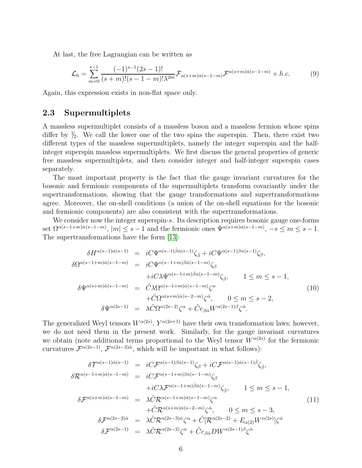At last, the free Lagrangian can be written as

$$
\mathcal{L}_0 = \sum_{m=0}^{s-1} \frac{(-1)^{s-1} (2s-1)!}{(s+m)!(s-1-m)! \lambda^{2m}} \mathcal{F}_{\alpha(s+m)\dot{\alpha}(s-1-m)} \mathcal{F}^{\alpha(s+m)\dot{\alpha}(s-1-m)} + h.c.
$$
 (9)

Again, this expression exists in non-flat space only.

#### 2.3 Supermultiplets

A massless supermultiplet consists of a massless boson and a massless fermion whose spins differ by  $\frac{1}{2}$ . We call the lower one of the two spins the superspin. Then, there exist two different types of the massless supermultiplets, namely the integer superspin and the halfinteger superspin massless supermultiplets. We first discuss the general properties of generic free massless supermultiplets, and then consider integer and half-integer superspin cases separately.

The most important property is the fact that the gauge invariant curvatures for the bosonic and fermionic components of the supermultiplets transform covariantly under the supertransformations, showing that the gauge transformations and supertransformations agree. Moreover, the on-shell conditions (a union of the on-shell equations for the bosonic and fermionic components) are also consistent with the supertransformations.

We consider now the integer superspin-s. Its description requires bosonic gauge one-forms set  $\Omega^{\alpha(s-1+m)\dot{\alpha}(s-1-m)}$ ,  $|m| \leq s-1$  and the fermionic ones  $\Psi^{\alpha(s+m)\dot{\alpha}(s-1-m)}$ ,  $-s \leq m \leq s-1$ . The supertransformations have the form [\[13\]](#page-16-2):

<span id="page-6-0"></span>
$$
\delta H^{\alpha(s-1)\dot{\alpha}(s-1)} = iC\Psi^{\alpha(s-1)\dot{\beta}\dot{\alpha}(s-1)}\zeta_{\dot{\beta}} + iC\Psi^{\alpha(s-1)\beta\dot{\alpha}(s-1)}\zeta_{\beta},
$$
  
\n
$$
\delta\Omega^{\alpha(s-1+m)\dot{\alpha}(s-1-m)} = iC\Psi^{\alpha(s-1+m)\beta\dot{\alpha}(s-1-m)}\zeta_{\beta}
$$
  
\n
$$
+iC\lambda\Psi^{\alpha(s-1+m)\dot{\beta}\dot{\alpha}(s-1-m)}\zeta_{\dot{\beta}}, \qquad 1 \leq m \leq s-1,
$$
  
\n
$$
\delta\Psi^{\alpha(s+m)\dot{\alpha}(s-1-m)} = \tilde{C}\lambda\Omega^{\alpha(s-1+m)\dot{\alpha}(s-1-m)}\zeta^{\alpha}
$$
  
\n
$$
+ \tilde{C}\Omega^{\alpha(s+m)\dot{\alpha}(s-2-m)}\zeta^{\dot{\alpha}}, \qquad 0 \leq m \leq s-2,
$$
  
\n
$$
\delta\Psi^{\alpha(2s-1)} = \lambda\tilde{C}\Omega^{\alpha(2s-2)}\zeta^{\alpha} + \tilde{C}e_{\beta\dot{\alpha}}W^{\alpha(2s-1)\beta}\zeta^{\dot{\alpha}}.
$$
  
\n(10)

The generalized Weyl tensors  $W^{\alpha(2s)}$ ,  $Y^{\alpha(2s+1)}$  have their own transformation laws; however, we do not need them in the present work. Similarly, for the gauge invariant curvatures we obtain (note additional terms proportional to the Weyl tensor  $W^{\alpha(2s)}$  for the fermionic curvatures  $\mathcal{F}^{\alpha(2s-1)}$ ,  $\mathcal{F}^{\alpha(2s-2)\dot{\alpha}}$ , which will be important in what follows):

$$
\delta \mathcal{T}^{\alpha(s-1)\dot{\alpha}(s-1)} = iC \mathcal{F}^{\alpha(s-1)\beta\dot{\alpha}(s-1)} \zeta_{\beta} + iC \mathcal{F}^{\alpha(s-1)\dot{\alpha}(s-1)\dot{\beta}} \zeta_{\dot{\beta}},
$$
\n
$$
\delta \mathcal{R}^{\alpha(s-1+m)\dot{\alpha}(s-1-m)} = iC \mathcal{F}^{\alpha(s-1+m)\beta\dot{\alpha}(s-1-m)} \zeta_{\beta}
$$
\n
$$
+ iC \lambda \mathcal{F}^{\alpha(s-1+m)\dot{\beta}\dot{\alpha}(s-1-m)} \zeta_{\dot{\beta}}, \qquad 1 \leq m \leq s-1,
$$
\n
$$
\delta \mathcal{F}^{\alpha(s+m)\dot{\alpha}(s-1-m)} = \lambda \tilde{C} \mathcal{R}^{\alpha(s+m)\dot{\alpha}(s-2-m)} \zeta^{\dot{\alpha}}, \qquad 0 \leq m \leq s-3,
$$
\n
$$
\delta \mathcal{F}^{\alpha(2s-2)\dot{\alpha}} = \lambda \tilde{C} \mathcal{R}^{\alpha(2s-3)\dot{\alpha}} \zeta^{\alpha} + \tilde{C} [\mathcal{R}^{\alpha(2s-2)} + E_{\alpha(2)} W^{\alpha(2s)}] \zeta^{\dot{\alpha}}
$$
\n
$$
\delta \mathcal{F}^{\alpha(2s-1)} = \lambda \tilde{C} \mathcal{R}^{\alpha(2s-2)} \zeta^{\alpha} + \tilde{C} e_{\beta \dot{\alpha}} D W^{\alpha(2s-1)\beta} \zeta^{\dot{\alpha}}
$$
\n(11)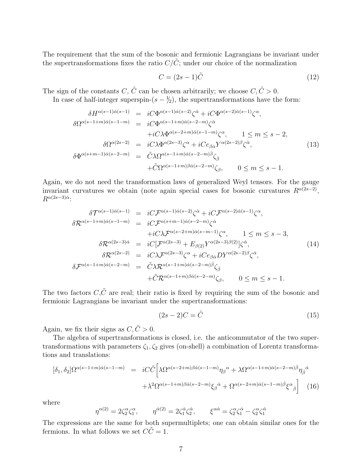The requirement that the sum of the bosonic and fermionic Lagrangians be invariant under the supertransformations fixes the ratio  $C/C$ ; under our choice of the normalization

$$
C = (2s - 1)\tilde{C}
$$
\n<sup>(12)</sup>

The sign of the constants C,  $\tilde{C}$  can be chosen arbitrarily; we choose  $C, \tilde{C} > 0$ .

In case of half-integer superspin- $(s - \frac{1}{2})$ , the supertransformations have the form:

<span id="page-7-0"></span>
$$
\delta H^{\alpha(s-1)\dot{\alpha}(s-1)} = iC\Phi^{\alpha(s-1)\dot{\alpha}(s-2)}\zeta^{\dot{\alpha}} + iC\Phi^{\alpha(s-2)\dot{\alpha}(s-1)}\zeta^{\alpha},
$$
  
\n
$$
\delta \Omega^{\alpha(s-1+m)\dot{\alpha}(s-1-m)} = iC\Phi^{\alpha(s-1+m)\dot{\alpha}(s-2-m)}\zeta^{\dot{\alpha}} + iC\lambda \Phi^{\alpha(s-2+m)\dot{\alpha}(s-1-m)}\zeta^{\alpha}, \qquad 1 \leq m \leq s-2,
$$
  
\n
$$
\delta \Omega^{\alpha(2s-2)} = iC\lambda \Phi^{\alpha(2s-3)}\zeta^{\alpha} + iCe_{\beta\dot{\alpha}}Y^{\alpha(2s-2)\beta}\zeta^{\dot{\alpha}},
$$
  
\n
$$
\delta \Phi^{\alpha(s+m-1)\dot{\alpha}(s-2-m)} = \tilde{C}\lambda \Omega^{\alpha(s-1+m)\dot{\alpha}(s-2-m)}\zeta_{\dot{\beta}}, \qquad 0 \leq m \leq s-1.
$$
  
\n(13)

Again, we do not need the transformation laws of generalized Weyl tensors. For the gauge invariant curvatures we obtain (note again special cases for bosonic curvatures  $R^{\alpha(2s-2)}$ ,  $R^{\alpha(2s-3)\dot{\alpha}}$ :

$$
\delta \mathcal{T}^{\alpha(s-1)\dot{\alpha}(s-1)} = iC \mathcal{F}^{\alpha(s-1)\dot{\alpha}(s-2)} \zeta^{\dot{\alpha}} + iC \mathcal{F}^{\alpha(s-2)\dot{\alpha}(s-1)} \zeta^{\alpha},
$$
  
\n
$$
\delta \mathcal{R}^{\alpha(s-1+m)\dot{\alpha}(s-1-m)} = iC \mathcal{F}^{\alpha(s+m-1)\dot{\alpha}(s-2-m)} \zeta^{\dot{\alpha}} + iC \lambda \mathcal{F}^{\alpha(s-2+m)\dot{\alpha}(s-m-1)} \zeta^{\alpha}, \qquad 1 \leq m \leq s-3,
$$
  
\n
$$
\delta \mathcal{R}^{\alpha(2s-3)\dot{\alpha}} = iC [\mathcal{F}^{\alpha(2s-3)} + E_{\beta(2)} Y^{\alpha(2s-3)\beta(2)}] \zeta^{\dot{\alpha}},
$$
  
\n
$$
\delta \mathcal{F}^{\alpha(s-1)} = iC \lambda \mathcal{F}^{\alpha(2s-3)} \zeta^{\alpha} + iC e_{\beta \dot{\alpha}} D Y^{\alpha(2s-2)\beta} \zeta^{\dot{\alpha}},
$$
  
\n
$$
\delta \mathcal{F}^{\alpha(s-1+m)\dot{\alpha}(s-2-m)} = \tilde{C} \lambda \mathcal{R}^{\alpha(s-1+m)\dot{\alpha}(s-2-m)} \zeta_{\dot{\beta}}, \qquad 0 \leq m \leq s-1.
$$
  
\n(14)

The two factors  $C,\tilde{C}$  are real; their ratio is fixed by requiring the sum of the bosonic and fermionic Lagrangians be invariant under the supertransformations:

$$
(2s-2)C = \tilde{C}
$$
\n<sup>(15)</sup>

Again, we fix their signs as  $C, \tilde{C} > 0$ .

The algebra of supertransformations is closed, i.e. the anticommutator of the two supertransformations with parameters  $\zeta_1, \zeta_2$  gives (on-shell) a combination of Lorentz transformations and translations:

$$
[\delta_1, \delta_2] \Omega^{\alpha(s-1+m)\dot{\alpha}(s-1-m)} = iC\tilde{C} \left[ \lambda \Omega^{\alpha(s-2+m)\beta\dot{\alpha}(s-1-m)} \eta_\beta{}^{\alpha} + \lambda \Omega^{\alpha(s-1+m)\dot{\alpha}(s-2-m)} \eta_\beta{}^{\dot{\alpha}} + \lambda^2 \Omega^{\alpha(s-1+m)\beta\dot{\alpha}(s-2-m)} \xi_\beta{}^{\dot{\alpha}} + \Omega^{\alpha(s-2+m)\dot{\alpha}(s-1-m)} \xi_\beta{}^{\alpha} \right]
$$
(16)

where

$$
\eta^{\alpha(2)} = 2\zeta_2^{\alpha}\zeta_1^{\alpha}, \qquad \eta^{\dot{\alpha}(2)} = 2\zeta_1^{\dot{\alpha}}\zeta_2^{\dot{\alpha}}, \qquad \xi^{\alpha\dot{\alpha}} = \zeta_2^{\alpha}\zeta_1^{\dot{\alpha}} - \zeta_2^{\alpha}\zeta_1^{\dot{\alpha}}
$$

The expressions are the same for both supermultiplets; one can obtain similar ones for the fermions. In what follows we set  $\hat{CC} = 1$ .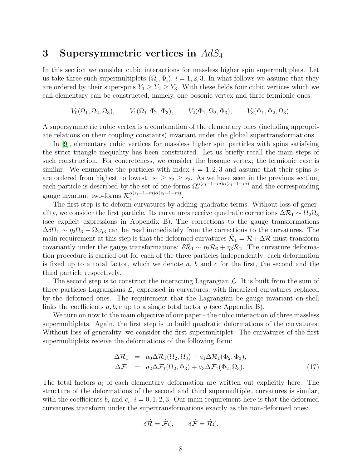#### 3 Supersymmetric vertices in  $AdS_4$

In this section we consider cubic interactions for massless higher spin supermultiplets. Let us take three such supermultiplets  $(\Omega_i, \Phi_i)$ ,  $i = 1, 2, 3$ . In what follows we assume that they are ordered by their superspins  $Y_1 \geq Y_2 \geq Y_3$ . With these fields four cubic vertices which we call elementary can be constructed, namely, one bosonic vertex and three fermionic ones:

$$
V_0(\Omega_1, \Omega_2, \Omega_3), \qquad V_1(\Omega_1, \Phi_2, \Phi_3), \qquad V_2(\Phi_1, \Omega_2, \Phi_3), \qquad V_3(\Phi_1, \Phi_2, \Omega_3).
$$

A supersymmetric cubic vertex is a combination of the elementary ones (including appropriate relations on their coupling constants) invariant under the global supertransformations.

In [\[9\]](#page-15-8), elementary cubic vertices for massless higher spin particles with spins satisfying the strict triangle inequality has been constructed. Let us briefly recall the main steps of such construction. For concreteness, we consider the bosonic vertex; the fermionic case is similar. We enumerate the particles with index  $i = 1, 2, 3$  and assume that their spins  $s_i$ are ordered from highest to lowest:  $s_1 \geq s_2 \geq s_3$ . As we have seen in the previous section, each particle is described by the set of one-forms  $\Omega_i^{\alpha(s_i-1+m)\dot{\alpha}(s_i-1-m)}$  and the corresponding gauge invariant two-forms  $\mathcal{R}_i^{\alpha(s_i-1+m)\dot{\alpha}(s_i-1-m)}$  $i^{\alpha(s_i-1+m)\alpha(s_i-1-m)}.$ 

The first step is to deform curvatures by adding quadratic terms. Without loss of generality, we consider the first particle. Its curvatures receive quadratic corrections  $\Delta \mathcal{R}_1 \sim \Omega_2 \Omega_3$ (see explicit expressions in Appendix B). The corrections to the gauge transformations  $\Delta\delta\Omega_1 \sim \eta_2\Omega_3 - \Omega_2\eta_3$  can be read immediately from the corrections to the curvatures. The main requirement at this step is that the deformed curvatures  $\hat{\mathcal{R}}_1 = \mathcal{R} + \Delta \mathcal{R}$  must transform covariantly under the gauge transformations:  $\delta \hat{R}_1 \sim \eta_2 R_3 + \eta_3 R_2$ . The curvature deformation procedure is carried out for each of the three particles independently; each deformation is fixed up to a total factor, which we denote  $a, b$  and  $c$  for the first, the second and the third particle respectively.

The second step is to construct the interacting Lagrangian  $\mathcal{L}$ . It is built from the sum of three particles Lagrangians  $\mathcal{L}_i$  expressed in curvatures, with linearized curvatures replaced by the deformed ones. The requirement that the Lagrangian be gauge invariant on-shell links the coefficients  $a, b, c$  up to a single total factor q (see Appendix B).

We turn on now to the main objective of our paper - the cubic interaction of three massless supermultiplets. Again, the first step is to build quadratic deformations of the curvatures. Without loss of generality, we consider the first supermultiplet. The curvatures of the first supermultiplets receive the deformations of the following form:

$$
\Delta \mathcal{R}_1 = a_0 \Delta \mathcal{R}_1(\Omega_2, \Omega_3) + a_1 \Delta \mathcal{R}_1(\Phi_2, \Phi_3),
$$
  
\n
$$
\Delta \mathcal{F}_1 = a_2 \Delta \mathcal{F}_1(\Omega_2, \Phi_3) + a_3 \Delta \mathcal{F}_1(\Phi_2, \Omega_3).
$$
\n(17)

The total factors  $a_i$  of each elementary deformation are written out explicitly here. The structure of the deformations of the second and third supermultiplet curvatures is similar, with the coefficients  $b_i$  and  $c_i$ ,  $i = 0, 1, 2, 3$ . Our main requirement here is that the deformed curvatures transform under the supertransformations exactly as the non-deformed ones:

$$
\delta \hat{\mathcal{R}} = \hat{\mathcal{F}} \zeta, \qquad \delta \hat{\mathcal{F}} = \hat{\mathcal{R}} \zeta.
$$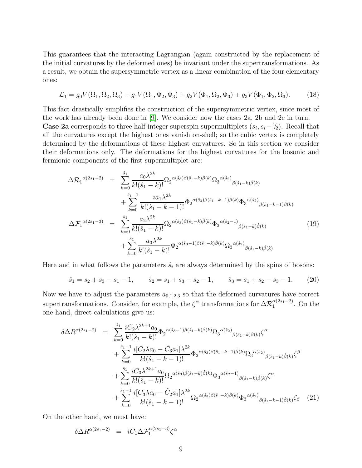This guarantees that the interacting Lagrangian (again constructed by the replacement of the initial curvatures by the deformed ones) be invariant under the supertransformations. As a result, we obtain the supersymmetric vertex as a linear combination of the four elementary ones:

$$
\mathcal{L}_1 = g_0 V(\Omega_1, \Omega_2, \Omega_3) + g_1 V(\Omega_1, \Phi_2, \Phi_3) + g_2 V(\Phi_1, \Omega_2, \Phi_3) + g_3 V(\Phi_1, \Phi_2, \Omega_3). \tag{18}
$$

This fact drastically simplifies the construction of the supersymmetric vertex, since most of the work has already been done in [\[9\]](#page-15-8). We consider now the cases 2a, 2b and 2c in turn. **Case 2a** corresponds to three half-integer superspin supermultiplets  $(s_i, s_i - \frac{1}{2})$ . Recall that all the curvatures except the highest ones vanish on-shell; so the cubic vertex is completely determined by the deformations of these highest curvatures. So in this section we consider their deformations only. The deformations for the highest curvatures for the bosonic and fermionic components of the first supermultiplet are:

$$
\Delta \mathcal{R}_{1}^{\alpha(2s_{1}-2)} = \sum_{k=0}^{\hat{s}_{1}} \frac{a_{0} \lambda^{2k}}{k! (\hat{s}_{1}-k)!} \Omega_{2}^{\alpha(\hat{s}_{3})\beta(\hat{s}_{1}-k)\dot{\beta}(k)} \Omega_{3}^{\alpha(\hat{s}_{2})}{}_{\beta(\hat{s}_{1}-k)\dot{\beta}(k)} \n+ \sum_{k=0}^{\hat{s}_{1}-1} \frac{i a_{1} \lambda^{2k}}{k! (\hat{s}_{1}-k-1)!} \Phi_{2}^{\alpha(\hat{s}_{3})\beta(\hat{s}_{1}-k-1)\dot{\beta}(k)} \Phi_{3}^{\alpha(\hat{s}_{2})}{}_{\beta(\hat{s}_{1}-k-1)\dot{\beta}(k)} \n\Delta \mathcal{F}_{1}^{\alpha(2s_{1}-3)} = \sum_{k=0}^{\hat{s}_{1}} \frac{a_{2} \lambda^{2k}}{k! (\hat{s}_{1}-k)!} \Omega_{2}^{\alpha(\hat{s}_{3})\beta(\hat{s}_{1}-k)\dot{\beta}(k)} \Phi_{3}^{\alpha(\hat{s}_{2}-1)}{}_{\beta(\hat{s}_{1}-k)\dot{\beta}(k)} \n+ \sum_{k=0}^{\hat{s}_{1}} \frac{a_{3} \lambda^{2k}}{k! (\hat{s}_{1}-k)!} \Phi_{2}^{\alpha(\hat{s}_{3}-1)\beta(\hat{s}_{1}-k)\dot{\beta}(k)} \Omega_{3}^{\alpha(\hat{s}_{2})}{}_{\beta(\hat{s}_{1}-k)\dot{\beta}(k)}
$$
\n(19)

Here and in what follows the parameters  $\hat{s}_i$  are always determined by the spins of bosons:

$$
\hat{s}_1 = s_2 + s_3 - s_1 - 1, \qquad \hat{s}_2 = s_1 + s_3 - s_2 - 1, \qquad \hat{s}_3 = s_1 + s_2 - s_3 - 1. \tag{20}
$$

Now we have to adjust the parameters  $a_{0,1,2,3}$  so that the deformed curvatures have correct supertransformations. Consider, for example, the  $\zeta^{\alpha}$  transformations for  $\Delta \mathcal{R}_1^{\alpha(2s_1-2)}$  $_1^{\alpha(2s_1-2)}$ . On the one hand, direct calculations give us:

$$
\delta\Delta R^{\alpha(2s_1-2)} = \sum_{k=0}^{\hat{s}_1} \frac{iC_2\lambda^{2k+1}a_0}{k!(\hat{s}_1 - k)!} \Phi_2^{\alpha(\hat{s}_3 - 1)\beta(\hat{s}_1 - k)\dot{\beta}(k)} \Omega_3^{\alpha(\hat{s}_2)}{}_{\beta(\hat{s}_1 - k)\dot{\beta}(k)} \zeta^{\alpha} + \sum_{k=0}^{\hat{s}_1 - 1} \frac{i[C_2\lambda a_0 - \tilde{C}_3 a_1]\lambda^{2k}}{k!(\hat{s}_1 - k - 1)!} \Phi_2^{\alpha(\hat{s}_3)\beta(\hat{s}_1 - k - 1)\dot{\beta}(k)} \Omega_3^{\alpha(\hat{s}_2)}{}_{\beta(\hat{s}_1 - k)\dot{\beta}(k)} \zeta^{\beta} + \sum_{k=0}^{\hat{s}_1} \frac{iC_3\lambda^{2k+1}a_0}{k!(\hat{s}_1 - k)!} \Omega_2^{\alpha(\hat{s}_3)\beta(\hat{s}_1 - k)\dot{\beta}(k)} \Phi_3^{\alpha(\hat{s}_2 - 1)}{}_{\beta(\hat{s}_1 - k)\dot{\beta}(k)} \zeta^{\alpha} + \sum_{k=0}^{\hat{s}_1 - 1} \frac{i[C_3\lambda a_0 - \tilde{C}_2 a_1]\lambda^{2k}}{k!(\hat{s}_1 - k - 1)!} \Omega_2^{\alpha(\hat{s}_3)\beta(\hat{s}_1 - k)\dot{\beta}(k)} \Phi_3^{\alpha(\hat{s}_2)}{}_{\beta(\hat{s}_1 - k - 1)\dot{\beta}(k)} \zeta^{\beta} \qquad (21)
$$

On the other hand, we must have:

$$
\delta \Delta R^{\alpha(2s_1-2)}\ \ =\ \ iC_1\Delta {\cal F}_1^{\alpha(2s_1-3)}\zeta^{\alpha}
$$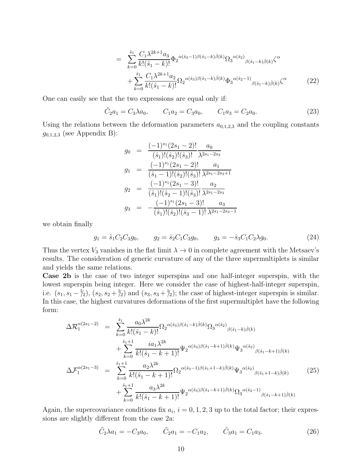$$
= \sum_{k=0}^{\hat{s}_1} \frac{C_1 \lambda^{2k+1} a_3}{k! (\hat{s}_1 - k)!} \Phi_2^{\alpha(\hat{s}_3 - 1)\beta(\hat{s}_1 - k)\dot{\beta}(k)} \Omega_3^{\alpha(\hat{s}_2)}{}_{\beta(\hat{s}_1 - k)\dot{\beta}(k)} \zeta^{\alpha} + \sum_{k=0}^{\hat{s}_1} \frac{C_1 \lambda^{2k+1} a_2}{k! (\hat{s}_1 - k)!} \Omega_2^{\alpha(\hat{s}_3)\beta(\hat{s}_1 - k)\dot{\beta}(k)} \Phi_3^{\alpha(\hat{s}_2 - 1)}{}_{\beta(\hat{s}_1 - k)\dot{\beta}(k)} \zeta^{\alpha}
$$
(22)

One can easily see that the two expressions are equal only if:

$$
\tilde{C}_2 a_1 = C_3 \lambda a_0, \qquad C_1 a_2 = C_3 a_0, \qquad C_1 a_3 = C_2 a_0. \tag{23}
$$

Using the relations between the deformation parameters  $a_{0,1,2,3}$  and the coupling constants  $g_{0,1,2,3}$  (see Appendix B):

$$
g_0 = \frac{(-1)^{s_1}(2s_1 - 2)!}{(\hat{s}_1)!(\hat{s}_2)!(\hat{s}_3)!} \frac{a_0}{\lambda^{2s_1 - 2s_3}}
$$
  
\n
$$
g_1 = \frac{(-1)^{s_1}(2s_1 - 2)!}{(\hat{s}_1 - 1)!(\hat{s}_2)!(\hat{s}_3)!} \frac{a_1}{\lambda^{2s_1 - 2s_3 + 1}}
$$
  
\n
$$
g_2 = \frac{(-1)^{s_1}(2s_1 - 3)!}{(\hat{s}_1)!(\hat{s}_2 - 1)!(\hat{s}_3)!} \frac{a_2}{\lambda^{2s_1 - 2s_3}}
$$
  
\n
$$
g_3 = -\frac{(-1)^{s_1}(2s_1 - 3)!}{(\hat{s}_1)!(\hat{s}_2)!(\hat{s}_3 - 1)!} \frac{a_3}{\lambda^{2s_1 - 2s_3 - 1}}
$$

we obtain finally

<span id="page-10-0"></span>
$$
g_1 = \hat{s}_1 C_2 C_3 g_0, \qquad g_2 = \hat{s}_2 C_1 C_3 g_0, \qquad g_3 = -\hat{s}_3 C_1 C_2 \lambda g_0. \tag{24}
$$

Thus the vertex  $V_3$  vanishes in the flat limit  $\lambda \to 0$  in complete agreement with the Metsaev's results. The consideration of generic curvature of any of the three supermultiplets is similar and yields the same relations.

Case 2b is the case of two integer superspins and one half-integer superspin, with the lowest superspin being integer. Here we consider the case of highest-half-integer superspin, i.e.  $(s_1, s_1 - \frac{1}{2}), (s_2, s_2 + \frac{1}{2})$  and  $(s_3, s_3 + \frac{1}{2})$ ; the case of highest-integer superspin is similar. In this case, the highest curvatures deformations of the first supermultiplet have the following form:

$$
\Delta \mathcal{R}_{1}^{\alpha(2s_{1}-2)} = \sum_{k=0}^{\hat{s}_{1}} \frac{a_{0} \lambda^{2k}}{k! (\hat{s}_{1}-k)!} \Omega_{2}^{\alpha(\hat{s}_{3})\beta(\hat{s}_{1}-k)\dot{\beta}(k)} \Omega_{3}^{\alpha(\hat{s}_{2})}{}_{\beta(\hat{s}_{1}-k)\dot{\beta}(k)} \n+ \sum_{k=0}^{\hat{s}_{1}+1} \frac{ia_{1} \lambda^{2k}}{k! (\hat{s}_{1}-k+1)!} \Psi_{2}^{\alpha(\hat{s}_{3})\beta(\hat{s}_{1}-k+1)\dot{\beta}(k)} \Psi_{3}^{\alpha(\hat{s}_{2})}{}_{\beta(\hat{s}_{1}-k+1)\dot{\beta}(k)} \n\Delta \mathcal{F}_{1}^{\alpha(2s_{1}-3)} = \sum_{k=0}^{\hat{s}_{1}+1} \frac{a_{2} \lambda^{2k}}{k! (\hat{s}_{1}-k+1)!} \Omega_{2}^{\alpha(\hat{s}_{3}-1)\beta(\hat{s}_{1}+1-k)\dot{\beta}(k)} \Psi_{3}^{\alpha(\hat{s}_{2})}{}_{\beta(\hat{s}_{1}+1-k)\dot{\beta}(k)} \n+ \sum_{k=0}^{\hat{s}_{1}+1} \frac{a_{3} \lambda^{2k}}{k! (\hat{s}_{1}-k+1)!} \Psi_{2}^{\alpha(\hat{s}_{3})\beta(\hat{s}_{1}-k+1)\dot{\beta}(k)} \Omega_{3}^{\alpha(\hat{s}_{2}-1)}{}_{\beta(\hat{s}_{1}-k+1)\dot{\beta}(k)}
$$
\n(25)

Again, the supercovariance conditions fix  $a_i$ ,  $i = 0, 1, 2, 3$  up to the total factor; their expressions are slightly different from the case 2a:

$$
\tilde{C}_2 \lambda a_1 = -C_3 a_0, \qquad \tilde{C}_2 a_1 = -C_1 a_2, \qquad \tilde{C}_3 a_1 = C_1 a_3. \tag{26}
$$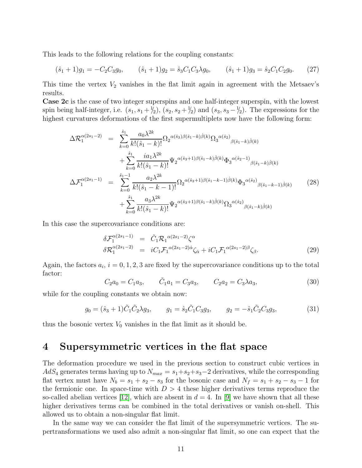This leads to the following relations for the coupling constants:

$$
(\hat{s}_1 + 1)g_1 = -C_2C_3g_0, \qquad (\hat{s}_1 + 1)g_2 = \hat{s}_3C_1C_3\lambda g_0, \qquad (\hat{s}_1 + 1)g_3 = \hat{s}_2C_1C_2g_0. \qquad (27)
$$

This time the vertex  $V_2$  vanishes in the flat limit again in agreement with the Metsaev's results.

Case 2c is the case of two integer superspins and one half-integer superspin, with the lowest spin being half-integer, i.e.  $(s_1, s_1 + \frac{1}{2}), (s_2, s_2 + \frac{1}{2})$  and  $(s_3, s_3 - \frac{1}{2})$ . The expressions for the highest curvatures deformations of the first supermultiplets now have the following form:

$$
\Delta \mathcal{R}_{1}^{\alpha(2s_{1}-2)} = \sum_{k=0}^{\hat{s}_{1}} \frac{a_{0} \lambda^{2k}}{k! (\hat{s}_{1}-k)!} \Omega_{2}^{\alpha(\hat{s}_{3})\beta(\hat{s}_{1}-k)\dot{\beta}(k)} \Omega_{3}^{\alpha(\hat{s}_{2})}{}_{\beta(\hat{s}_{1}-k)\dot{\beta}(k)} \n+ \sum_{k=0}^{\hat{s}_{1}} \frac{ia_{1} \lambda^{2k}}{k! (\hat{s}_{1}-k)!} \Psi_{2}^{\alpha(\hat{s}_{3}+1)\beta(\hat{s}_{1}-k)\dot{\beta}(k)} \Phi_{3}^{\alpha(\hat{s}_{2}-1)}{}_{\beta(\hat{s}_{1}-k)\dot{\beta}(k)} \n\Delta \mathcal{F}_{1}^{\alpha(2s_{1}-1)} = \sum_{k=0}^{\hat{s}_{1}-1} \frac{a_{2} \lambda^{2k}}{k! (\hat{s}_{1}-k-1)!} \Omega_{2}^{\alpha(\hat{s}_{3}+1)\beta(\hat{s}_{1}-k-1)\dot{\beta}(k)} \Phi_{3}^{\alpha(\hat{s}_{2})}{}_{\beta(\hat{s}_{1}-k-1)\dot{\beta}(k)} \tag{28} \n+ \sum_{k=0}^{\hat{s}_{1}} \frac{a_{3} \lambda^{2k}}{k! (\hat{s}_{1}-k)!} \Psi_{2}^{\alpha(\hat{s}_{3}+1)\beta(\hat{s}_{1}-k)\dot{\beta}(k)} \Omega_{3}^{\alpha(\hat{s}_{2})}{}_{\beta(\hat{s}_{1}-k)\dot{\beta}(k)}
$$

In this case the supercovariance conditions are:

$$
\delta \mathcal{F}_{1}^{\alpha(2s_{1}-1)} = \tilde{C}_{1} \mathcal{R}_{1}^{\alpha(2s_{1}-2)} \zeta^{\alpha} \n\delta \mathcal{R}_{1}^{\alpha(2s_{1}-2)} = i C_{1} \mathcal{F}_{1}^{\alpha(2s_{1}-2)\dot{\alpha}} \zeta_{\dot{\alpha}} + i C_{1} \mathcal{F}_{1}^{\alpha(2s_{1}-2)\beta} \zeta_{\beta}.
$$
\n(29)

Again, the factors  $a_i$ ,  $i = 0, 1, 2, 3$  are fixed by the supercovariance conditions up to the total factor:

$$
C_2 a_0 = C_1 a_3, \qquad \tilde{C}_1 a_1 = C_3 a_3, \qquad C_2 a_2 = C_3 \lambda a_3,\tag{30}
$$

while for the coupling constants we obtain now:

$$
g_0 = (\hat{s}_3 + 1)\tilde{C}_1\tilde{C}_2\lambda g_3, \qquad g_1 = \hat{s}_2\tilde{C}_1C_3g_3, \qquad g_2 = -\hat{s}_1\tilde{C}_2C_3g_3,\tag{31}
$$

thus the bosonic vertex  $V_0$  vanishes in the flat limit as it should be.

### 4 Supersymmetric vertices in the flat space

The deformation procedure we used in the previous section to construct cubic vertices in  $AdS_4$  generates terms having up to  $N_{max} = s_1 + s_2 + s_3 - 2$  derivatives, while the corresponding flat vertex must have  $N_b = s_1 + s_2 - s_3$  for the bosonic case and  $N_f = s_1 + s_2 - s_3 - 1$  for the fermionic one. In space-time with  $D > 4$  these higher derivatives terms reproduce the so-called abelian vertices [\[12\]](#page-16-1), which are absent in  $d = 4$ . In [\[9\]](#page-15-8) we have shown that all these higher derivatives terms can be combined in the total derivatives or vanish on-shell. This allowed us to obtain a non-singular flat limit.

In the same way we can consider the flat limit of the supersymmetric vertices. The supertransformations we used also admit a non-singular flat limit, so one can expect that the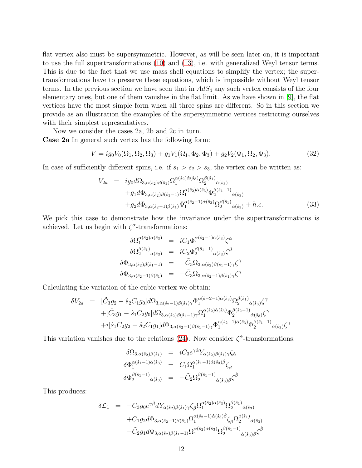flat vertex also must be supersymmetric. However, as will be seen later on, it is important to use the full supertransformations [\(10\)](#page-6-0) and [\(13\)](#page-7-0), i.e. with generalized Weyl tensor terms. This is due to the fact that we use mass shell equations to simplify the vertex; the supertransformations have to preserve these equations, which is impossible without Weyl tensor terms. In the previous section we have seen that in  $AdS_4$  any such vertex consists of the four elementary ones, but one of them vanishes in the flat limit. As we have shown in [\[9\]](#page-15-8), the flat vertices have the most simple form when all three spins are different. So in this section we provide as an illustration the examples of the supersymmetric vertices restricting ourselves with their simplest representatives.

Now we consider the cases 2a, 2b and 2c in turn. Case 2a In general such vertex has the following form:

$$
V = ig_0 V_0(\Omega_1, \Omega_2, \Omega_3) + g_1 V_1(\Omega_1, \Phi_2, \Phi_3) + g_2 V_2(\Phi_1, \Omega_2, \Phi_3).
$$
 (32)

In case of sufficiently different spins, i.e. if  $s_1 > s_2 > s_3$ , the vertex can be written as:

$$
V_{2a} = ig_0 d\Omega_{3,\alpha(\hat{s}_2)\beta(\hat{s}_1)} \Omega_1^{\alpha(\hat{s}_2)\dot{\alpha}(\hat{s}_3)} \Omega_2^{\beta(\hat{s}_1)}{}_{\dot{\alpha}(\hat{s}_3)} + g_1 d\Phi_{3,\alpha(\hat{s}_2)\beta(\hat{s}_1-1)} \Omega_1^{\alpha(\hat{s}_2)\dot{\alpha}(\hat{s}_3)} \Phi_2^{\beta(\hat{s}_1-1)}{}_{\dot{\alpha}(\hat{s}_3)} + g_2 d\Phi_{3,\alpha(\hat{s}_2-1)\beta(\hat{s}_1)} \Phi_1^{\alpha(\hat{s}_2-1)\dot{\alpha}(\hat{s}_3)} \Omega_2^{\beta(\hat{s}_1)}{}_{\dot{\alpha}(\hat{s}_3)} + h.c.
$$
\n(33)

We pick this case to demonstrate how the invariance under the supertransformations is achieved. Let us begin with  $\zeta^{\alpha}$ -transformations:

$$
\delta\Omega_{1}^{\alpha(\hat{s}_{2})\dot{\alpha}(\hat{s}_{3})} = iC_{1}\Phi_{1}^{\alpha(\hat{s}_{2}-1)\dot{\alpha}(\hat{s}_{3})}\zeta^{\alpha}
$$

$$
\delta\Omega_{2}^{\beta(\hat{s}_{1})}\dot{\alpha}(\hat{s}_{3}) = iC_{2}\Phi_{2}^{\beta(\hat{s}_{1}-1)}\dot{\alpha}(\hat{s}_{3})\zeta^{\beta}
$$

$$
\delta\Phi_{3,\alpha(\hat{s}_{2})\beta(\hat{s}_{1}-1)} = -\tilde{C}_{3}\Omega_{3,\alpha(\hat{s}_{2})\beta(\hat{s}_{1}-1)\gamma}\zeta^{\gamma}
$$

$$
\delta\Phi_{3,\alpha(\hat{s}_{2}-1)\beta(\hat{s}_{1})} = -\tilde{C}_{3}\Omega_{3,\alpha(\hat{s}_{2}-1)\beta(\hat{s}_{1})\gamma}\zeta^{\gamma}
$$

Calculating the variation of the cubic vertex we obtain:

$$
\delta V_{2a} = [\tilde{C}_{3}g_{2} - \hat{s}_{2}C_{1}g_{0}]d\Omega_{3,\alpha(\hat{s}_{2}-1)\beta(\hat{s}_{1})\gamma}\Phi_{1}^{\alpha(\hat{s}-2-1)\dot{\alpha}(\hat{s}_{3})}\Omega_{2}^{\beta(\hat{s}_{1})}\dot{\alpha}(\hat{s}_{3})\zeta^{\gamma} + [\tilde{C}_{3}g_{1} - \hat{s}_{1}C_{2}g_{0}]d\Omega_{3,\alpha(\hat{s}_{2})\beta(\hat{s}_{1}-1)\gamma}\Omega_{1}^{\alpha(\hat{s}_{2})\dot{\alpha}(\hat{s}_{3})}\Phi_{2}^{\beta(\hat{s}_{2}-1)}\dot{\alpha}(\hat{s}_{3})\zeta^{\gamma} + i[\hat{s}_{1}C_{2}g_{2} - \hat{s}_{2}C_{1}g_{1}]d\Phi_{3,\alpha(\hat{s}_{2}-1)\beta(\hat{s}_{1}-1)\gamma}\Phi_{1}^{\alpha(\hat{s}_{2}-1)\dot{\alpha}(\hat{s}_{3})}\Phi_{2}^{\beta(\hat{s}_{1}-1)}\dot{\alpha}(\hat{s}_{3})\zeta^{\gamma}
$$

This variation vanishes due to the relations [\(24\)](#page-10-0). Now consider  $\zeta^{\dot{\alpha}}$ -transformations:

$$
\begin{array}{rcl}\n\delta\Omega_{3,\alpha(\hat{s}_2)\beta(\hat{s}_1)} & = & iC_3e^{\gamma\dot{\alpha}}Y_{\alpha(\hat{s}_2)\beta(\hat{s}_1)\gamma}\zeta_{\dot{\alpha}} \\
\delta\Phi_1^{\alpha(\hat{s}_1-1)\dot{\alpha}(\hat{s}_3)} & = & \tilde{C}_1\Omega_1^{\alpha(\hat{s}_1-1)\dot{\alpha}(\hat{s}_3)\dot{\beta}}\zeta_{\dot{\beta}} \\
\delta\Phi_2^{\beta(\hat{s}_1-1)}\dot{\alpha}(\hat{s}_3) & = & -\tilde{C}_2\Omega_2^{\beta(\hat{s}_1-1)}\dot{\alpha}(\hat{s}_3)\dot{\beta}}\zeta^{\dot{\beta}}\n\end{array}
$$

This produces:

$$
\delta \mathcal{L}_{1} = -C_{3} g_{0} e^{\gamma \dot{\beta}} dY_{\alpha(\hat{s}_{2})\beta(\hat{s}_{1})\gamma} \zeta_{\dot{\beta}} \Omega_{1}^{\alpha(\hat{s}_{2})\dot{\alpha}(\hat{s}_{3})} \Omega_{2}^{\beta(\hat{s}_{1})}{}_{\dot{\alpha}(\hat{s}_{3})} \n+ \tilde{C}_{1} g_{2} d\Phi_{3,\alpha(\hat{s}_{2}-1)\beta(\hat{s}_{1})} \Omega_{1}^{\alpha(\hat{s}_{2}-1)\dot{\alpha}(\hat{s}_{3})\dot{\beta}} \zeta_{\dot{\beta}} \Omega_{2}^{\beta(\hat{s}_{1})}{}_{\dot{\alpha}(\hat{s}_{3})} \n- \tilde{C}_{2} g_{1} d\Phi_{3,\alpha(\hat{s}_{2})\beta(\hat{s}_{1}-1)} \Omega_{1}^{\alpha(\hat{s}_{2})\dot{\alpha}(\hat{s}_{3})} \Omega_{2}^{\beta(\hat{s}_{1}-1)}{}_{\dot{\alpha}(\hat{s}_{3})\dot{\beta}} \zeta^{\dot{\beta}}
$$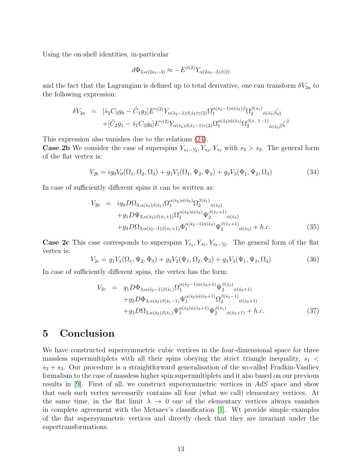Using the on-shell identities, in-particular

$$
d\Phi_{3,\alpha(2s_3-3)} \approx -E^{\beta(2)}Y_{\alpha(2s_3-3)\beta(2)}
$$

and the fact that the Lagrangian is defined up to total derivative, one can transform  $\delta V_{2a}$  to the following expression:

$$
\delta V_{2a} = [\hat{s}_2 C_3 g_0 - \tilde{C}_1 g_2] E^{\gamma(2)} Y_{\alpha(\hat{s}_2 - 1)\beta(\hat{s}_1)\gamma(2)} \Omega_1^{\alpha(\hat{s}_2 - 1)\dot{\alpha}(\hat{s}_3)\dot{\beta}} \Omega_2^{\beta(\hat{s}_1)} \dot{\alpha}(\hat{s}_3) \zeta_{\dot{\beta}} + [\tilde{C}_2 g_1 - \hat{s}_1 C_3 g_0] E^{\gamma(2)} Y_{\alpha(\hat{s}_2)\beta(\hat{s}_1 - 1)\gamma(2)} \Omega_1^{\alpha(\hat{s}_2)\dot{\alpha}(\hat{s}_3)} \Omega_2^{\beta(\hat{s}_1 - 1)} \dot{\alpha}(\hat{s}_3 \dot{\beta})} \zeta_{\dot{\beta}}^{\dot{\beta}}
$$

This expression also vanishes due to the relations [\(24\)](#page-10-0).

**Case 2b** We consider the case of superspins  $Y_{s_1-\frac{1}{2}}, Y_{s_2}, Y_{s_3}$  with  $s_2 > s_3$ . The general form of the flat vertex is:

$$
V_{2b} = ig_0 V_0(\Omega_1, \Omega_2, \Omega_3) + g_1 V_1(\Omega_1, \Psi_2, \Psi_3) + g_3 V_3(\Phi_1, \Psi_2, \Omega_3)
$$
\n(34)

In case of sufficiently different spins it can be written as:

$$
V_{2b} = ig_0 D\Omega_{3,\alpha(\hat{s}_2)\beta(\hat{s}_1)} \Omega_1^{\alpha(\hat{s}_2)\dot{\alpha}(\hat{s}_3)} \Omega_2^{\beta(\hat{s}_1)}{}_{\dot{\alpha}(\hat{s}_3)} + g_1 D\Psi_{3,\alpha(\hat{s}_2)\beta(\hat{s}_1+1)} \Omega_1^{\alpha(\hat{s}_2)\dot{\alpha}(\hat{s}_3)} \Psi_2^{\beta(\hat{s}_1+1)}{}_{\dot{\alpha}(\hat{s}_3)} + g_3 D\Omega_{3,\alpha(\hat{s}_2-1)\beta(\hat{s}_1+1)} \Phi_1^{\alpha(\hat{s}_2-1)\dot{\alpha}(\hat{s}_3)} \Psi_2^{\beta(\hat{s}_1+1)}{}_{\dot{\alpha}(\hat{s}_3)} + h.c.
$$
\n(35)

**Case 2c** This case corresponds to superspins  $Y_{s_1}, Y_{s_2}, Y_{s_3-\frac{1}{2}}$ . The general form of the flat vertex is:

$$
V_{2c} = g_1 V_1(\Omega_1, \Psi_2, \Phi_3) + g_2 V_2(\Psi_1, \Omega_2, \Phi_3) + g_3 V_3(\Psi_1, \Psi_2, \Omega_3)
$$
(36)

In case of sufficiently different spins, the vertex has the form:

$$
V_{2c} = g_1 D \Phi_{3,\alpha(\hat{s}_2-1)\beta(\hat{s}_1)} \Omega_1^{\alpha(\hat{s}_2-1)\dot{\alpha}(\hat{s}_3+1)} \Psi_2^{\beta(\hat{s}_1)}{}_{\dot{\alpha}(\hat{s}_3+1)} + g_2 D \Phi_{3,\alpha(\hat{s}_2)\beta(\hat{s}_1-1)} \Psi_1^{\alpha(\hat{s}_2)\dot{\alpha}(\hat{s}_3+1)} \Omega_2^{\beta(\hat{s}_1-1)}{}_{\dot{\alpha}(\hat{s}_3+1)} + g_3 D \Omega_{3,\alpha(\hat{s}_2)\beta(\hat{s}_1)} \Psi_1^{\alpha(\hat{s}_2)\dot{\alpha}(\hat{s}_3+1)} \Psi_2^{\beta(\hat{s}_1)}{}_{\dot{\alpha}(\hat{s}_3+1)} + h.c.
$$
\n(37)

## 5 Conclusion

We have constructed supersymmetric cubic vertices in the four-dimensional space for three massless supermultiplets with all their spins obeying the strict triangle inequality,  $s_1$  <  $s_2 + s_3$ . Our procedure is a straightforward generalisation of the so-called Fradkin-Vasiliev formalism to the case of massless higher spin supermultiplets and it also based on our previous results in  $[9]$ . First of all, we construct supersymmetric vertices in  $AdS$  space and show that each such vertex necessarily contains all four (what we call) elementary vertices. At the same time, in the flat limit  $\lambda \to 0$  one of the elementary vertices always vanishes in complete agreement with the Metsaev's classification [\[1\]](#page-15-0). Wt provide simple examples of the flat supersymmetric vertices and directly check that they are invariant under the supertransformations.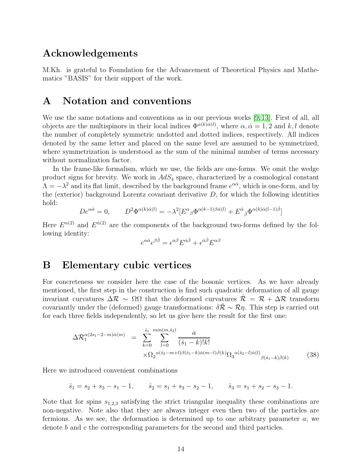### Acknowledgements

M.Kh. is grateful to Foundation for the Advancement of Theoretical Physics and Mathematics "BASIS" for their support of the work.

### A Notation and conventions

We use the same notations and conventions as in our previous works [\[9,](#page-15-8) [13\]](#page-16-2). First of all, all objects are the multispinors in their local indices  $\Phi^{\alpha(k)\dot{\alpha}(l)}$ , where  $\alpha, \dot{\alpha} = 1, 2$  and k, l denote the number of completely symmetric undotted and dotted indices, respectively. All indices denoted by the same letter and placed on the same level are assumed to be symmetrized, where symmetrization is understood as the sum of the minimal number of terms necessary without normalization factor.

In the frame-like formalism, which we use, the fields are one-forms. We omit the wedge product signs for brevity. We work in  $AdS_4$  space, characterized by a cosmological constant  $\Lambda = -\lambda^2$  and its flat limit, described by the background frame  $e^{\alpha \dot{\alpha}}$ , which is one-form, and by the (exterior) background Lorentz covariant derivative  $D$ , for which the following identities hold:

$$
De^{\alpha\dot{\alpha}} = 0, \qquad D^2 \Phi^{\alpha(k)\dot{\alpha}(l)} = -\lambda^2 [E^{\alpha}{}_{\beta} \Phi^{\alpha(k-1)\beta\dot{\alpha}(l)} + E^{\dot{\alpha}}{}_{\dot{\beta}} \Phi^{\alpha(k)\dot{\alpha}(l-1)\dot{\beta}}]
$$

Here  $E^{\alpha(2)}$  and  $E^{\dot{\alpha}(2)}$  are the components of the background two-forms defined by the following identity:

$$
e^{\alpha \dot{\alpha}} e^{\beta \dot{\beta}} = \epsilon^{\alpha \beta} E^{\dot{\alpha} \dot{\beta}} + \epsilon^{\dot{\alpha} \dot{\beta}} E^{\alpha \beta}
$$

### B Elementary cubic vertices

For concreteness we consider here the case of the bosonic vertices. As we have already mentioned, the first step in the construction is find such quadratic deformation of all gauge invariant curvatures  $\Delta \mathcal{R} \sim \Omega \Omega$  that the deformed curvatures  $\mathcal{R} = \mathcal{R} + \Delta \mathcal{R}$  transform covariantly under the (deformed) gauge transformations:  $\delta \mathcal{R} \sim \mathcal{R} \eta$ . This step is carried out for each three fields independently, so let us give here the result for the first one:

$$
\Delta \mathcal{R}_1^{\alpha(2s_1 - 2 - m)\dot{\alpha}(m)} = \sum_{k=0}^{\hat{s}_1} \sum_{l=0}^{\min(m, \hat{s}_2)} \frac{a}{(\hat{s}_1 - k)! k!} \times \Omega_2^{\alpha(\hat{s}_3 - m + l)\beta(\hat{s}_1 - k)\dot{\alpha}(m - l)\dot{\beta}(k)} \Omega_3^{\alpha(\hat{s}_2 - l)\dot{\alpha}(l)} \beta(\hat{s}_1 - k)\dot{\beta}(k)}
$$
(38)

Here we introduced convenient combinations

$$
\hat{s}_1 = s_2 + s_3 - s_1 - 1,
$$
  $\hat{s}_2 = s_1 + s_3 - s_2 - 1,$   $\hat{s}_3 = s_1 + s_2 - s_3 - 1.$ 

Note that for spins  $s_{1,2,3}$  satisfying the strict triangular inequality these combinations are non-negative. Note also that they are always integer even then two of the particles are fermions. As we see, the deformation is determined up to one arbitrary parameter  $a$ ; we denote b and c the corresponding parameters for the second and third particles.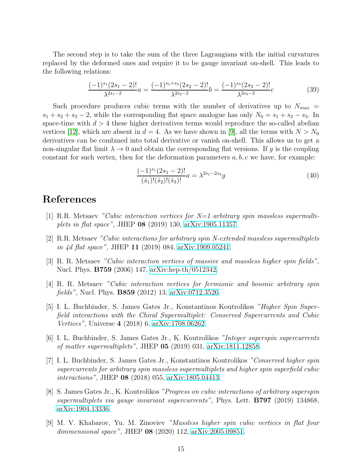The second step is to take the sum of the three Lagrangians with the initial curvatures replaced by the deformed ones and require it to be gauge invariant on-shell. This leads to the following relations:

$$
\frac{(-1)^{s_1}(2s_1-2)!}{\lambda^{2s_1-2}}a = \frac{(-1)^{s_1+s_3}(2s_2-2)!}{\lambda^{2s_2-2}}b = \frac{(-1)^{s_3}(2s_3-2)!}{\lambda^{2s_3-2}}c\tag{39}
$$

Such procedure produces cubic terms with the number of derivatives up to  $N_{max}$  =  $s_1 + s_2 + s_3 - 2$ , while the corresponding flat space analogue has only  $N_0 = s_1 + s_2 - s_3$ . In space-time with  $d > 4$  these higher derivatives terms would reproduce the so-called abelian vertices [\[12\]](#page-16-1), which are absent in  $d = 4$ . As we have shown in [\[9\]](#page-15-8), all the terms with  $N > N_0$ derivatives can be combined into total derivative or vanish on-shell. This allows us to get a non-singular flat limit  $\lambda \to 0$  and obtain the corresponding flat versions. If g is the coupling constant for such vertex, then for the deformation parameters  $a, b, c$  we have, for example:

$$
\frac{(-1)^{s_1}(2s_1-2)!}{(\hat{s}_1)!(\hat{s}_2)!(\hat{s}_3)!}a = \lambda^{2s_1-2s_3}g\tag{40}
$$

#### <span id="page-15-0"></span>References

- <span id="page-15-1"></span>[1] R.R. Metsaev "Cubic interaction vertices for  $N=1$  arbitrary spin massless supermultiplets in flat space", JHEP 08 (2019) 130, [arXiv:1905.11357.](http://arxiv.org/abs/1905.11357)
- [2] R.R. Metsaev "Cubic interactions for arbitrary spin N-extended massless supermultiplets in 4d flat space", JHEP 11 (2019) 084, [arXiv:1909.05241.](http://arxiv.org/abs/1909.05241)
- <span id="page-15-3"></span><span id="page-15-2"></span>[3] R. R. Metsaev "Cubic interaction vertices of massive and massless higher spin fields", Nucl. Phys. B759 (2006) 147, [arXiv:hep-th/0512342.](http://arxiv.org/abs/hep-th/0512342)
- [4] R. R. Metsaev "Cubic interaction vertices for fermionic and bosonic arbitrary spin fields", Nucl. Phys. B859 (2012) 13, [arXiv:0712.3526.](http://arxiv.org/abs/0712.3526)
- <span id="page-15-4"></span>[5] I. L. Buchbinder, S. James Gates Jr., Konstantinos Koutrolikos "Higher Spin Superfield interactions with the Chiral Supermultiplet: Conserved Supercurrents and Cubic Vertices", Universe 4 (2018) 6, [arXiv:1708.06262.](http://arxiv.org/abs/1708.06262)
- <span id="page-15-5"></span>[6] I. L. Buchbinder, S. James Gates Jr., K. Koutrolikos "Integer superspin supercurrents of matter supermultiplets", JHEP 05 (2019) 031, [arXiv:1811.12858.](http://arxiv.org/abs/1811.12858)
- <span id="page-15-6"></span>[7] I. L. Buchbinder, S. James Gates Jr., Konstantinos Koutrolikos "Conserved higher spin supercurrents for arbitrary spin massless supermultiplets and higher spin superfield cubic interactions", JHEP 08 (2018) 055, [arXiv:1805.04413.](http://arxiv.org/abs/1805.04413)
- <span id="page-15-7"></span>[8] S. James Gates Jr., K. Koutrolikos "Progress on cubic interactions of arbitrary superspin supermultiplets via gauge invariant supercurrents", Phys. Lett. **B797** (2019) 134868, [arXiv:1904.13336.](http://arxiv.org/abs/1904.13336)
- <span id="page-15-8"></span>[9] M. V. Khabarov, Yu. M. Zinoviev "Massless higher spin cubic vertices in flat four dimmensional space", JHEP 08 (2020) 112, [arXiv:2005.09851.](http://arxiv.org/abs/2005.09851)